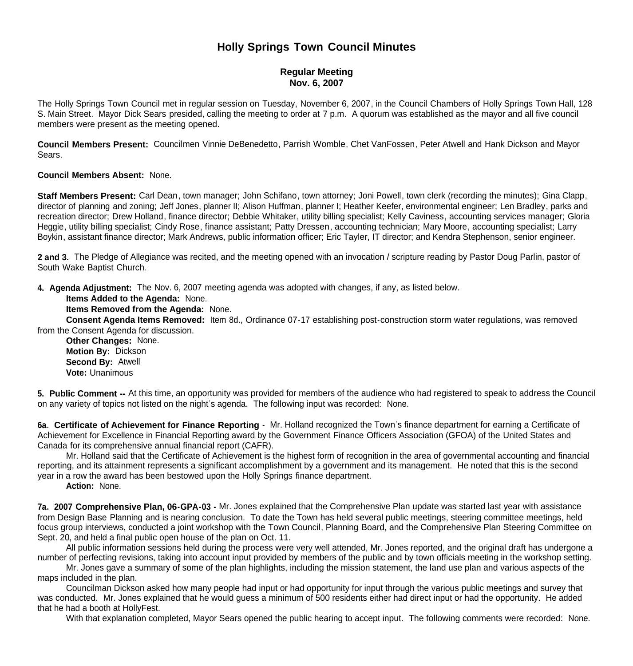# **Holly Springs Town Council Minutes**

# **Regular Meeting Nov. 6, 2007**

The Holly Springs Town Council met in regular session on Tuesday, November 6, 2007, in the Council Chambers of Holly Springs Town Hall, 128 S. Main Street. Mayor Dick Sears presided, calling the meeting to order at 7 p.m. A quorum was established as the mayor and all five council members were present as the meeting opened.

**Council Members Present:** Councilmen Vinnie DeBenedetto, Parrish Womble, Chet VanFossen, Peter Atwell and Hank Dickson and Mayor Sears.

### **Council Members Absent:** None.

**Staff Members Present:** Carl Dean, town manager; John Schifano, town attorney; Joni Powell, town clerk (recording the minutes); Gina Clapp, director of planning and zoning; Jeff Jones, planner II; Alison Huffman, planner I; Heather Keefer, environmental engineer; Len Bradley, parks and recreation director; Drew Holland, finance director; Debbie Whitaker, utility billing specialist; Kelly Caviness, accounting services manager; Gloria Heggie, utility billing specialist; Cindy Rose, finance assistant; Patty Dressen, accounting technician; Mary Moore, accounting specialist; Larry Boykin, assistant finance director; Mark Andrews, public information officer; Eric Tayler, IT director; and Kendra Stephenson, senior engineer.

**2 and 3.** The Pledge of Allegiance was recited, and the meeting opened with an invocation / scripture reading by Pastor Doug Parlin, pastor of South Wake Baptist Church.

**4. Agenda Adjustment:** The Nov. 6, 2007 meeting agenda was adopted with changes, if any, as listed below.

#### **Items Added to the Agenda:** None.

**Items Removed from the Agenda:** None.

 **Consent Agenda Items Removed:** Item 8d., Ordinance 07-17 establishing post-construction storm water regulations, was removed from the Consent Agenda for discussion.

**Other Changes:** None. **Motion By:** Dickson **Second By:** Atwell **Vote:** Unanimous

**5. Public Comment --** At this time, an opportunity was provided for members of the audience who had registered to speak to address the Council on any variety of topics not listed on the night's agenda. The following input was recorded: None.

**6a. Certificate of Achievement for Finance Reporting -** Mr. Holland recognized the Town's finance department for earning a Certificate of Achievement for Excellence in Financial Reporting award by the Government Finance Officers Association (GFOA) of the United States and Canada for its comprehensive annual financial report (CAFR).

 Mr. Holland said that the Certificate of Achievement is the highest form of recognition in the area of governmental accounting and financial reporting, and its attainment represents a significant accomplishment by a government and its management. He noted that this is the second year in a row the award has been bestowed upon the Holly Springs finance department.

 **Action:** None.

**7a. 2007 Comprehensive Plan, 06-GPA-03 -** Mr. Jones explained that the Comprehensive Plan update was started last year with assistance from Design Base Planning and is nearing conclusion. To date the Town has held several public meetings, steering committee meetings, held focus group interviews, conducted a joint workshop with the Town Council, Planning Board, and the Comprehensive Plan Steering Committee on Sept. 20, and held a final public open house of the plan on Oct. 11.

 All public information sessions held during the process were very well attended, Mr. Jones reported, and the original draft has undergone a number of perfecting revisions, taking into account input provided by members of the public and by town officials meeting in the workshop setting.

 Mr. Jones gave a summary of some of the plan highlights, including the mission statement, the land use plan and various aspects of the maps included in the plan.

 Councilman Dickson asked how many people had input or had opportunity for input through the various public meetings and survey that was conducted. Mr. Jones explained that he would guess a minimum of 500 residents either had direct input or had the opportunity. He added that he had a booth at HollyFest.

With that explanation completed, Mayor Sears opened the public hearing to accept input. The following comments were recorded: None.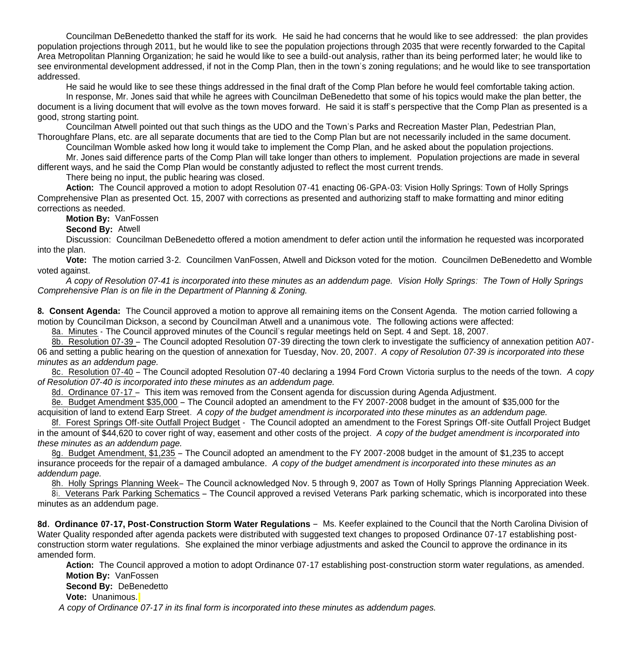Councilman DeBenedetto thanked the staff for its work. He said he had concerns that he would like to see addressed: the plan provides population projections through 2011, but he would like to see the population projections through 2035 that were recently forwarded to the Capital Area Metropolitan Planning Organization; he said he would like to see a build-out analysis, rather than its being performed later; he would like to see environmental development addressed, if not in the Comp Plan, then in the town's zoning regulations; and he would like to see transportation addressed.

He said he would like to see these things addressed in the final draft of the Comp Plan before he would feel comfortable taking action.

In response, Mr. Jones said that while he agrees with Councilman DeBenedetto that some of his topics would make the plan better, the document is a living document that will evolve as the town moves forward. He said it is staff's perspective that the Comp Plan as presented is a good, strong starting point.

Councilman Atwell pointed out that such things as the UDO and the Town's Parks and Recreation Master Plan, Pedestrian Plan, Thoroughfare Plans, etc. are all separate documents that are tied to the Comp Plan but are not necessarily included in the same document.

Councilman Womble asked how long it would take to implement the Comp Plan, and he asked about the population projections.

Mr. Jones said difference parts of the Comp Plan will take longer than others to implement. Population projections are made in several different ways, and he said the Comp Plan would be constantly adjusted to reflect the most current trends.

There being no input, the public hearing was closed.

 **Action:** The Council approved a motion to adopt Resolution 07-41 enacting 06-GPA-03: Vision Holly Springs: Town of Holly Springs Comprehensive Plan as presented Oct. 15, 2007 with corrections as presented and authorizing staff to make formatting and minor editing corrections as needed.

**Motion By: VanFossen** 

# **Second By:** Atwell

 Discussion: Councilman DeBenedetto offered a motion amendment to defer action until the information he requested was incorporated into the plan.

 **Vote:** The motion carried 3-2. Councilmen VanFossen, Atwell and Dickson voted for the motion. Councilmen DeBenedetto and Womble voted against.

 *A copy of Resolution 07-41 is incorporated into these minutes as an addendum page. Vision Holly Springs: The Town of Holly Springs Comprehensive Plan is on file in the Department of Planning & Zoning.*

**8. Consent Agenda:** The Council approved a motion to approve all remaining items on the Consent Agenda. The motion carried following a motion by Councilman Dickson, a second by Councilman Atwell and a unanimous vote. The following actions were affected:

8a. Minutes - The Council approved minutes of the Council's regular meetings held on Sept. 4 and Sept. 18, 2007.

 8b. Resolution 07-39 – The Council adopted Resolution 07-39 directing the town clerk to investigate the sufficiency of annexation petition A07- 06 and setting a public hearing on the question of annexation for Tuesday, Nov. 20, 2007. *A copy of Resolution 07-39 is incorporated into these minutes as an addendum page.*

 8c. Resolution 07-40 – The Council adopted Resolution 07-40 declaring a 1994 Ford Crown Victoria surplus to the needs of the town. *A copy of Resolution 07-40 is incorporated into these minutes as an addendum page.*

8d. Ordinance 07-17 – This item was removed from the Consent agenda for discussion during Agenda Adjustment.

 8e. Budget Amendment \$35,000 – The Council adopted an amendment to the FY 2007-2008 budget in the amount of \$35,000 for the acquisition of land to extend Earp Street. *A copy of the budget amendment is incorporated into these minutes as an addendum page.*

8f. Forest Springs Off-site Outfall Project Budget - The Council adopted an amendment to the Forest Springs Off-site Outfall Project Budget in the amount of \$44,620 to cover right of way, easement and other costs of the project. *A copy of the budget amendment is incorporated into these minutes as an addendum page.*

8g. Budget Amendment, \$1,235 – The Council adopted an amendment to the FY 2007-2008 budget in the amount of \$1,235 to accept insurance proceeds for the repair of a damaged ambulance. *A copy of the budget amendment is incorporated into these minutes as an addendum page.*

8h. Holly Springs Planning Week– The Council acknowledged Nov. 5 through 9, 2007 as Town of Holly Springs Planning Appreciation Week.

 8i. Veterans Park Parking Schematics – The Council approved a revised Veterans Park parking schematic, which is incorporated into these minutes as an addendum page.

**8d. Ordinance 07-17, Post-Construction Storm Water Regulations** – Ms. Keefer explained to the Council that the North Carolina Division of Water Quality responded after agenda packets were distributed with suggested text changes to proposed Ordinance 07-17 establishing postconstruction storm water regulations. She explained the minor verbiage adjustments and asked the Council to approve the ordinance in its amended form.

Action: The Council approved a motion to adopt Ordinance 07-17 establishing post-construction storm water regulations, as amended. **Motion By:** VanFossen

# **Second By: DeBenedetto**

**Vote:** Unanimous.

 *A copy of Ordinance 07-17 in its final form is incorporated into these minutes as addendum pages.*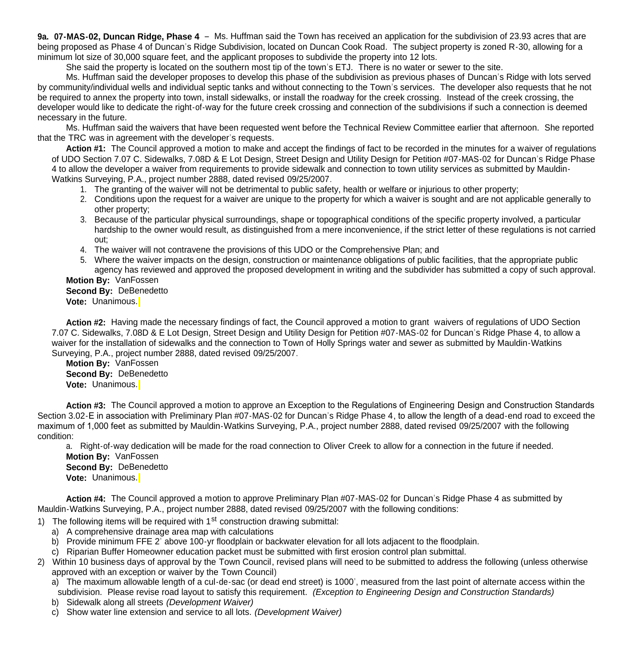**9a. 07-MAS-02, Duncan Ridge, Phase 4** – Ms. Huffman said the Town has received an application for the subdivision of 23.93 acres that are being proposed as Phase 4 of Duncan's Ridge Subdivision, located on Duncan Cook Road. The subject property is zoned R-30, allowing for a minimum lot size of 30,000 square feet, and the applicant proposes to subdivide the property into 12 lots.

She said the property is located on the southern most tip of the town's ETJ. There is no water or sewer to the site.

 Ms. Huffman said the developer proposes to develop this phase of the subdivision as previous phases of Duncan's Ridge with lots served by community/individual wells and individual septic tanks and without connecting to the Town's services. The developer also requests that he not be required to annex the property into town, install sidewalks, or install the roadway for the creek crossing. Instead of the creek crossing, the developer would like to dedicate the right-of-way for the future creek crossing and connection of the subdivisions if such a connection is deemed necessary in the future.

 Ms. Huffman said the waivers that have been requested went before the Technical Review Committee earlier that afternoon. She reported that the TRC was in agreement with the developer's requests.

 **Action #1:** The Council approved a motion to make and accept the findings of fact to be recorded in the minutes for a waiver of regulations of UDO Section 7.07 C. Sidewalks, 7.08D & E Lot Design, Street Design and Utility Design for Petition #07-MAS-02 for Duncan's Ridge Phase 4 to allow the developer a waiver from requirements to provide sidewalk and connection to town utility services as submitted by Mauldin-Watkins Surveying, P.A., project number 2888, dated revised 09/25/2007.

- 1. The granting of the waiver will not be detrimental to public safety, health or welfare or injurious to other property;
- 2. Conditions upon the request for a waiver are unique to the property for which a waiver is sought and are not applicable generally to other property;
- 3. Because of the particular physical surroundings, shape or topographical conditions of the specific property involved, a particular hardship to the owner would result, as distinguished from a mere inconvenience, if the strict letter of these regulations is not carried out;
- 4. The waiver will not contravene the provisions of this UDO or the Comprehensive Plan; and
- 5. Where the waiver impacts on the design, construction or maintenance obligations of public facilities, that the appropriate public agency has reviewed and approved the proposed development in writing and the subdivider has submitted a copy of such approval.

**Motion By:** VanFossen

**Second By:** DeBenedetto

**Vote:** Unanimous.

 **Action #2:** Having made the necessary findings of fact, the Council approved a motion to grant waivers of regulations of UDO Section 7.07 C. Sidewalks, 7.08D & E Lot Design, Street Design and Utility Design for Petition #07-MAS-02 for Duncan's Ridge Phase 4, to allow a waiver for the installation of sidewalks and the connection to Town of Holly Springs water and sewer as submitted by Mauldin-Watkins Surveying, P.A., project number 2888, dated revised 09/25/2007.

 **Motion By:** VanFossen **Second By:** DeBenedetto **Vote:** Unanimous.

 **Action #3:** The Council approved a motion to approve an Exception to the Regulations of Engineering Design and Construction Standards Section 3.02-E in association with Preliminary Plan #07-MAS-02 for Duncan's Ridge Phase 4, to allow the length of a dead-end road to exceed the maximum of 1,000 feet as submitted by Mauldin-Watkins Surveying, P.A., project number 2888, dated revised 09/25/2007 with the following condition:

a. Right-of-way dedication will be made for the road connection to Oliver Creek to allow for a connection in the future if needed.

 **Motion By:** VanFossen **Second By:** DeBenedetto

**Vote:** Unanimous.

 **Action #4:** The Council approved a motion to approve Preliminary Plan #07-MAS-02 for Duncan's Ridge Phase 4 as submitted by Mauldin-Watkins Surveying, P.A., project number 2888, dated revised 09/25/2007 with the following conditions:

1) The following items will be required with  $1<sup>st</sup>$  construction drawing submittal:

- a) A comprehensive drainage area map with calculations
- b) Provide minimum FFE 2' above 100-yr floodplain or backwater elevation for all lots adjacent to the floodplain.
- c) Riparian Buffer Homeowner education packet must be submitted with first erosion control plan submittal.
- 2) Within 10 business days of approval by the Town Council, revised plans will need to be submitted to address the following (unless otherwise approved with an exception or waiver by the Town Council)
	- a) The maximum allowable length of a cul-de-sac (or dead end street) is 1000', measured from the last point of alternate access within the subdivision. Please revise road layout to satisfy this requirement. *(Exception to Engineering Design and Construction Standards)*
	- b) Sidewalk along all streets *(Development Waiver)*
	- c) Show water line extension and service to all lots. *(Development Waiver)*